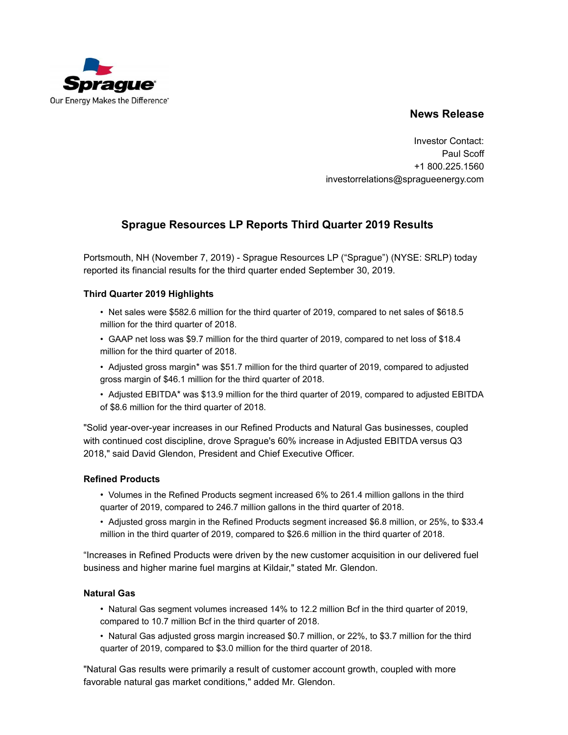

## **News Release**

Investor Contact: Paul Scoff +1 800.225.1560 investorrelations@spragueenergy.com

# **Sprague Resources LP Reports Third Quarter 2019 Results**

Portsmouth, NH (November 7, 2019) - Sprague Resources LP ("Sprague") (NYSE: SRLP) today reported its financial results for the third quarter ended September 30, 2019.

### **Third Quarter 2019 Highlights**

- Net sales were \$582.6 million for the third quarter of 2019, compared to net sales of \$618.5 million for the third quarter of 2018.
- GAAP net loss was \$9.7 million for the third quarter of 2019, compared to net loss of \$18.4 million for the third quarter of 2018.
- Adjusted gross margin\* was \$51.7 million for the third quarter of 2019, compared to adjusted gross margin of \$46.1 million for the third quarter of 2018.
- Adjusted EBITDA\* was \$13.9 million for the third quarter of 2019, compared to adjusted EBITDA of \$8.6 million for the third quarter of 2018.

"Solid year-over-year increases in our Refined Products and Natural Gas businesses, coupled with continued cost discipline, drove Sprague's 60% increase in Adjusted EBITDA versus Q3 2018," said David Glendon, President and Chief Executive Officer.

#### **Refined Products**

- Volumes in the Refined Products segment increased 6% to 261.4 million gallons in the third quarter of 2019, compared to 246.7 million gallons in the third quarter of 2018.
- Adjusted gross margin in the Refined Products segment increased \$6.8 million, or 25%, to \$33.4 million in the third quarter of 2019, compared to \$26.6 million in the third quarter of 2018.

"Increases in Refined Products were driven by the new customer acquisition in our delivered fuel business and higher marine fuel margins at Kildair," stated Mr. Glendon.

#### **Natural Gas**

- Natural Gas segment volumes increased 14% to 12.2 million Bcf in the third quarter of 2019, compared to 10.7 million Bcf in the third quarter of 2018.
- Natural Gas adjusted gross margin increased \$0.7 million, or 22%, to \$3.7 million for the third quarter of 2019, compared to \$3.0 million for the third quarter of 2018.

"Natural Gas results were primarily a result of customer account growth, coupled with more favorable natural gas market conditions," added Mr. Glendon.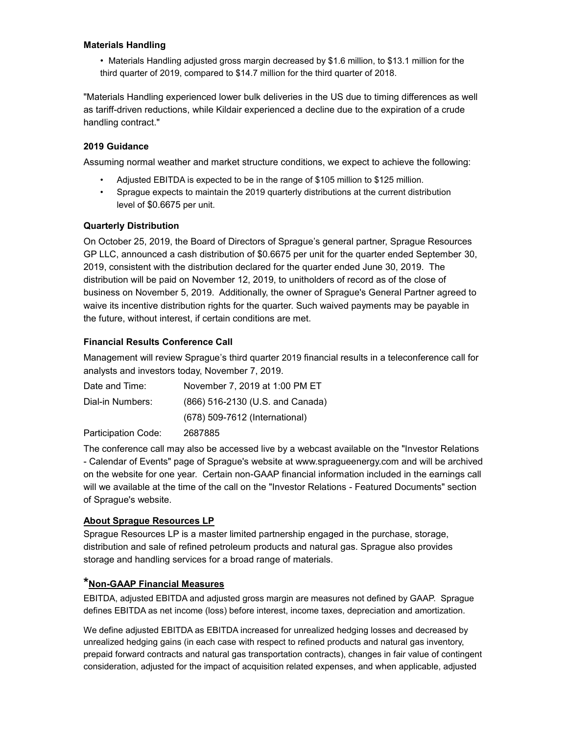#### **Materials Handling**

• Materials Handling adjusted gross margin decreased by \$1.6 million, to \$13.1 million for the third quarter of 2019, compared to \$14.7 million for the third quarter of 2018.

"Materials Handling experienced lower bulk deliveries in the US due to timing differences as well as tariff-driven reductions, while Kildair experienced a decline due to the expiration of a crude handling contract."

#### **2019 Guidance**

Assuming normal weather and market structure conditions, we expect to achieve the following:

- Adjusted EBITDA is expected to be in the range of \$105 million to \$125 million.
- Sprague expects to maintain the 2019 quarterly distributions at the current distribution level of \$0.6675 per unit.

#### **Quarterly Distribution**

On October 25, 2019, the Board of Directors of Sprague's general partner, Sprague Resources GP LLC, announced a cash distribution of \$0.6675 per unit for the quarter ended September 30, 2019, consistent with the distribution declared for the quarter ended June 30, 2019. The distribution will be paid on November 12, 2019, to unitholders of record as of the close of business on November 5, 2019. Additionally, the owner of Sprague's General Partner agreed to waive its incentive distribution rights for the quarter. Such waived payments may be payable in the future, without interest, if certain conditions are met.

#### **Financial Results Conference Call**

Management will review Sprague's third quarter 2019 financial results in a teleconference call for analysts and investors today, November 7, 2019.

| Date and Time:      | November 7, 2019 at 1:00 PM ET   |
|---------------------|----------------------------------|
| Dial-in Numbers:    | (866) 516-2130 (U.S. and Canada) |
|                     | (678) 509-7612 (International)   |
| Participation Code: | 2687885                          |

The conference call may also be accessed live by a webcast available on the "Investor Relations - Calendar of Events" page of Sprague's website at www.spragueenergy.com and will be archived on the website for one year. Certain non-GAAP financial information included in the earnings call will we available at the time of the call on the "Investor Relations - Featured Documents" section of Sprague's website.

#### **About Sprague Resources LP**

Sprague Resources LP is a master limited partnership engaged in the purchase, storage, distribution and sale of refined petroleum products and natural gas. Sprague also provides storage and handling services for a broad range of materials.

#### **\*Non-GAAP Financial Measures**

EBITDA, adjusted EBITDA and adjusted gross margin are measures not defined by GAAP. Sprague defines EBITDA as net income (loss) before interest, income taxes, depreciation and amortization.

We define adjusted EBITDA as EBITDA increased for unrealized hedging losses and decreased by unrealized hedging gains (in each case with respect to refined products and natural gas inventory, prepaid forward contracts and natural gas transportation contracts), changes in fair value of contingent consideration, adjusted for the impact of acquisition related expenses, and when applicable, adjusted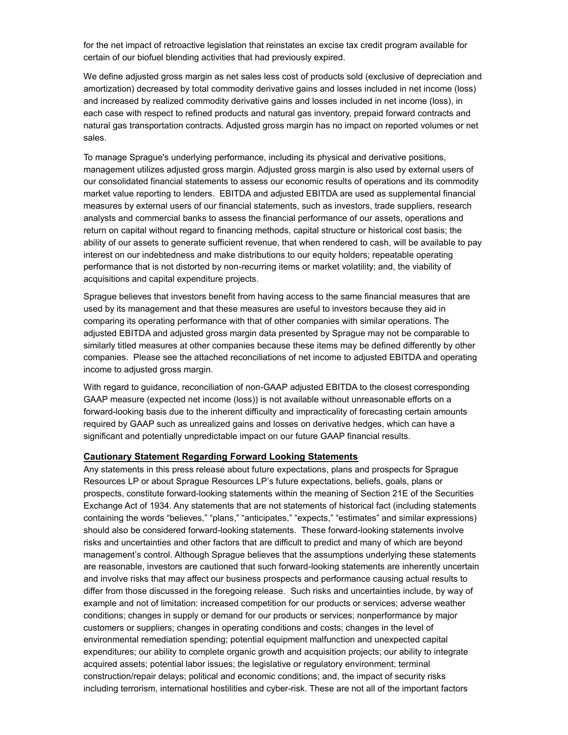for the net impact of retroactive legislation that reinstates an excise tax credit program available for certain of our biofuel blending activities that had previously expired.

We define adjusted gross margin as net sales less cost of products sold (exclusive of depreciation and amortization) decreased by total commodity derivative gains and losses included in net income (loss) and increased by realized commodity derivative gains and losses included in net income (loss), in each case with respect to refined products and natural gas inventory, prepaid forward contracts and natural gas transportation contracts. Adjusted gross margin has no impact on reported volumes or net sales.

To manage Sprague's underlying performance, including its physical and derivative positions, management utilizes adjusted gross margin. Adjusted gross margin is also used by external users of our consolidated financial statements to assess our economic results of operations and its commodity market value reporting to lenders. EBITDA and adjusted EBITDA are used as supplemental financial measures by external users of our financial statements, such as investors, trade suppliers, research analysts and commercial banks to assess the financial performance of our assets, operations and return on capital without regard to financing methods, capital structure or historical cost basis; the ability of our assets to generate sufficient revenue, that when rendered to cash, will be available to pay interest on our indebtedness and make distributions to our equity holders; repeatable operating performance that is not distorted by non-recurring items or market volatility; and, the viability of acquisitions and capital expenditure projects.

Sprague believes that investors benefit from having access to the same financial measures that are used by its management and that these measures are useful to investors because they aid in comparing its operating performance with that of other companies with similar operations. The adjusted EBITDA and adjusted gross margin data presented by Sprague may not be comparable to similarly titled measures at other companies because these items may be defined differently by other companies. Please see the attached reconciliations of net income to adjusted EBITDA and operating income to adjusted gross margin.

With regard to guidance, reconciliation of non-GAAP adjusted EBITDA to the closest corresponding GAAP measure (expected net income (loss)) is not available without unreasonable efforts on a forward-looking basis due to the inherent difficulty and impracticality of forecasting certain amounts required by GAAP such as unrealized gains and losses on derivative hedges, which can have a significant and potentially unpredictable impact on our future GAAP financial results.

#### **Cautionary Statement Regarding Forward Looking Statements**

Any statements in this press release about future expectations, plans and prospects for Sprague Resources LP or about Sprague Resources LP's future expectations, beliefs, goals, plans or prospects, constitute forward-looking statements within the meaning of Section 21E of the Securities Exchange Act of 1934. Any statements that are not statements of historical fact (including statements containing the words "believes," "plans," "anticipates," "expects," "estimates" and similar expressions) should also be considered forward-looking statements. These forward-looking statements involve risks and uncertainties and other factors that are difficult to predict and many of which are beyond management's control. Although Sprague believes that the assumptions underlying these statements are reasonable, investors are cautioned that such forward-looking statements are inherently uncertain and involve risks that may affect our business prospects and performance causing actual results to differ from those discussed in the foregoing release. Such risks and uncertainties include, by way of example and not of limitation: increased competition for our products or services; adverse weather conditions; changes in supply or demand for our products or services; nonperformance by major customers or suppliers; changes in operating conditions and costs; changes in the level of environmental remediation spending; potential equipment malfunction and unexpected capital expenditures; our ability to complete organic growth and acquisition projects; our ability to integrate acquired assets; potential labor issues; the legislative or regulatory environment; terminal construction/repair delays; political and economic conditions; and, the impact of security risks including terrorism, international hostilities and cyber-risk. These are not all of the important factors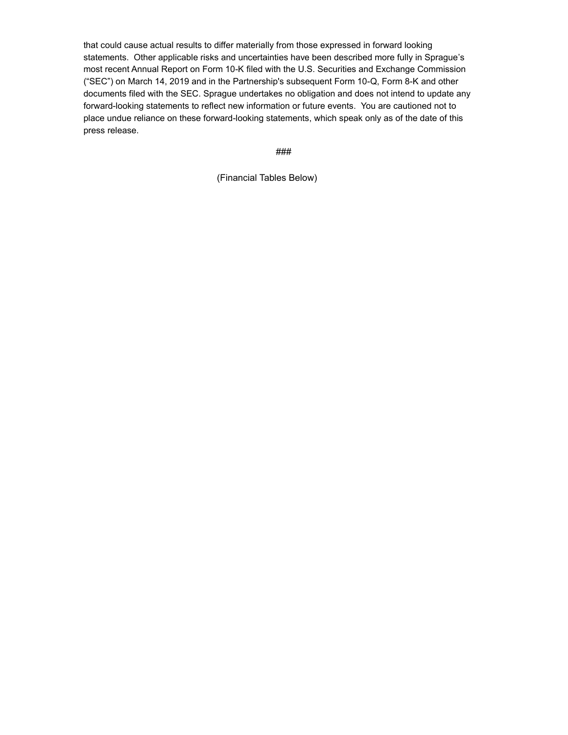that could cause actual results to differ materially from those expressed in forward looking statements. Other applicable risks and uncertainties have been described more fully in Sprague's most recent Annual Report on Form 10-K filed with the U.S. Securities and Exchange Commission ("SEC") on March 14, 2019 and in the Partnership's subsequent Form 10-Q, Form 8-K and other documents filed with the SEC. Sprague undertakes no obligation and does not intend to update any forward-looking statements to reflect new information or future events. You are cautioned not to place undue reliance on these forward-looking statements, which speak only as of the date of this press release.

###

(Financial Tables Below)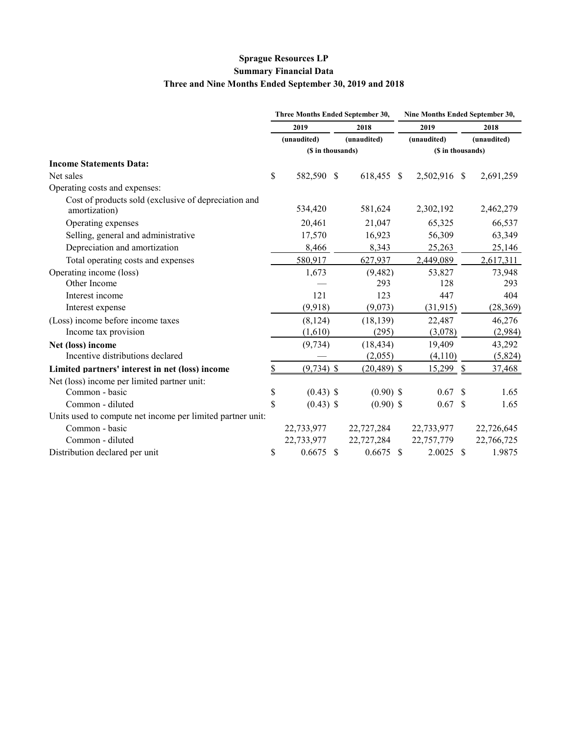## **Sprague Resources LP Summary Financial Data Three and Nine Months Ended September 30, 2019 and 2018**

|                                                                       | Three Months Ended September 30, |                   |  | Nine Months Ended September 30, |                   |              |    |             |  |
|-----------------------------------------------------------------------|----------------------------------|-------------------|--|---------------------------------|-------------------|--------------|----|-------------|--|
|                                                                       |                                  | 2019              |  | 2018                            |                   | 2019         |    | 2018        |  |
|                                                                       |                                  | (unaudited)       |  | (unaudited)                     |                   | (unaudited)  |    | (unaudited) |  |
|                                                                       |                                  | (\$ in thousands) |  |                                 | (\$ in thousands) |              |    |             |  |
| <b>Income Statements Data:</b>                                        |                                  |                   |  |                                 |                   |              |    |             |  |
| Net sales                                                             | \$                               | 582,590 \$        |  | 618,455 \$                      |                   | 2,502,916 \$ |    | 2,691,259   |  |
| Operating costs and expenses:                                         |                                  |                   |  |                                 |                   |              |    |             |  |
| Cost of products sold (exclusive of depreciation and<br>amortization) |                                  | 534,420           |  | 581,624                         |                   | 2,302,192    |    | 2,462,279   |  |
| Operating expenses                                                    |                                  | 20,461            |  | 21,047                          |                   | 65,325       |    | 66,537      |  |
| Selling, general and administrative                                   |                                  | 17,570            |  | 16,923                          |                   | 56,309       |    | 63,349      |  |
| Depreciation and amortization                                         |                                  | 8,466             |  | 8,343                           |                   | 25,263       |    | 25,146      |  |
| Total operating costs and expenses                                    |                                  | 580,917           |  | 627,937                         |                   | 2,449,089    |    | 2,617,311   |  |
| Operating income (loss)                                               |                                  | 1,673             |  | (9,482)                         |                   | 53,827       |    | 73,948      |  |
| Other Income                                                          |                                  |                   |  | 293                             |                   | 128          |    | 293         |  |
| Interest income                                                       |                                  | 121               |  | 123                             |                   | 447          |    | 404         |  |
| Interest expense                                                      |                                  | (9,918)           |  | (9,073)                         |                   | (31, 915)    |    | (28, 369)   |  |
| (Loss) income before income taxes                                     |                                  | (8, 124)          |  | (18, 139)                       |                   | 22,487       |    | 46,276      |  |
| Income tax provision                                                  |                                  | (1,610)           |  | (295)                           |                   | (3,078)      |    | (2,984)     |  |
| Net (loss) income                                                     |                                  | (9, 734)          |  | (18, 434)                       |                   | 19,409       |    | 43,292      |  |
| Incentive distributions declared                                      |                                  |                   |  | (2,055)                         |                   | (4,110)      |    | (5,824)     |  |
| Limited partners' interest in net (loss) income                       |                                  | $(9,734)$ \$      |  | $(20, 489)$ \$                  |                   | $15,299$ \$  |    | 37,468      |  |
| Net (loss) income per limited partner unit:                           |                                  |                   |  |                                 |                   |              |    |             |  |
| Common - basic                                                        | \$                               | $(0.43)$ \$       |  | $(0.90)$ \$                     |                   | 0.67         | \$ | 1.65        |  |
| Common - diluted                                                      | \$                               | $(0.43)$ \$       |  | $(0.90)$ \$                     |                   | 0.67         | \$ | 1.65        |  |
| Units used to compute net income per limited partner unit:            |                                  |                   |  |                                 |                   |              |    |             |  |
| Common - basic                                                        |                                  | 22,733,977        |  | 22,727,284                      |                   | 22,733,977   |    | 22,726,645  |  |
| Common - diluted                                                      |                                  | 22,733,977        |  | 22,727,284                      |                   | 22,757,779   |    | 22,766,725  |  |
| Distribution declared per unit                                        | \$                               | $0.6675$ \$       |  | $0.6675$ \$                     |                   | $2.0025$ \$  |    | 1.9875      |  |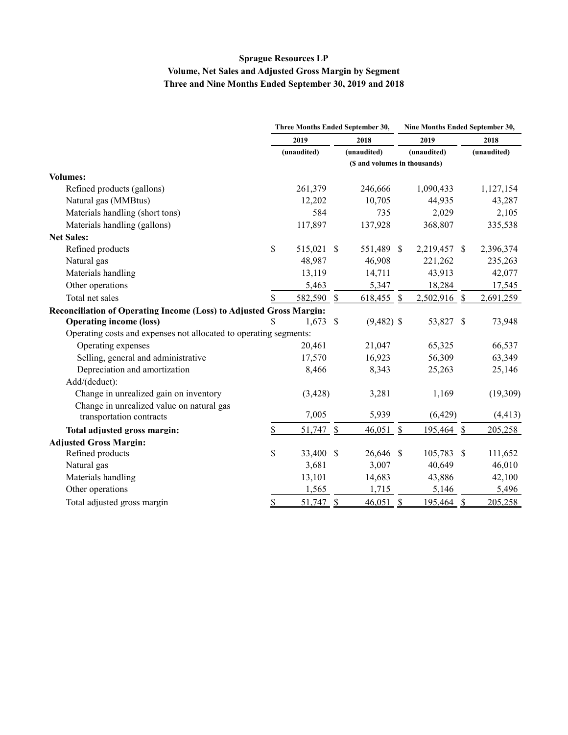## **Sprague Resources LP Volume, Net Sales and Adjusted Gross Margin by Segment Three and Nine Months Ended September 30, 2019 and 2018**

|                                                                     |    | Three Months Ended September 30, |                               |                     |               | Nine Months Ended September 30, |                           |             |  |  |
|---------------------------------------------------------------------|----|----------------------------------|-------------------------------|---------------------|---------------|---------------------------------|---------------------------|-------------|--|--|
|                                                                     |    | 2019<br>(unaudited)              |                               | 2018<br>(unaudited) |               | 2019<br>(unaudited)             |                           | 2018        |  |  |
|                                                                     |    |                                  |                               |                     |               |                                 |                           | (unaudited) |  |  |
|                                                                     |    |                                  | (\$ and volumes in thousands) |                     |               |                                 |                           |             |  |  |
| <b>Volumes:</b>                                                     |    |                                  |                               |                     |               |                                 |                           |             |  |  |
| Refined products (gallons)                                          |    | 261,379                          |                               | 246,666             |               | 1,090,433                       |                           | 1,127,154   |  |  |
| Natural gas (MMBtus)                                                |    | 12,202                           |                               | 10,705              |               | 44,935                          |                           | 43,287      |  |  |
| Materials handling (short tons)                                     |    | 584                              |                               | 735                 |               | 2,029                           |                           | 2,105       |  |  |
| Materials handling (gallons)                                        |    | 117,897                          |                               | 137,928             |               | 368,807                         |                           | 335,538     |  |  |
| <b>Net Sales:</b>                                                   |    |                                  |                               |                     |               |                                 |                           |             |  |  |
| Refined products                                                    | \$ | 515,021                          | <sup>S</sup>                  | 551,489 \$          |               | 2,219,457 \$                    |                           | 2,396,374   |  |  |
| Natural gas                                                         |    | 48,987                           |                               | 46,908              |               | 221,262                         |                           | 235,263     |  |  |
| Materials handling                                                  |    | 13,119                           |                               | 14,711              |               | 43,913                          |                           | 42,077      |  |  |
| Other operations                                                    |    | 5,463                            |                               | 5,347               |               | 18,284                          |                           | 17,545      |  |  |
| Total net sales                                                     |    | 582,590                          | $\mathbb{S}$                  | $618,455$ \$        |               | $2,502,916$ \$                  |                           | 2,691,259   |  |  |
| Reconciliation of Operating Income (Loss) to Adiusted Gross Margin: |    |                                  |                               |                     |               |                                 |                           |             |  |  |
| <b>Operating income (loss)</b>                                      | S  | 1,673                            | $\mathcal{S}$                 | $(9,482)$ \$        |               | 53,827                          | -S                        | 73,948      |  |  |
| Operating costs and expenses not allocated to operating segments:   |    |                                  |                               |                     |               |                                 |                           |             |  |  |
| Operating expenses                                                  |    | 20,461                           |                               | 21,047              |               | 65,325                          |                           | 66,537      |  |  |
| Selling, general and administrative                                 |    | 17,570                           |                               | 16,923              |               | 56,309                          |                           | 63,349      |  |  |
| Depreciation and amortization                                       |    | 8,466                            |                               | 8,343               |               | 25,263                          |                           | 25,146      |  |  |
| Add/(deduct):                                                       |    |                                  |                               |                     |               |                                 |                           |             |  |  |
| Change in unrealized gain on inventory                              |    | (3, 428)                         |                               | 3,281               |               | 1,169                           |                           | (19,309)    |  |  |
| Change in unrealized value on natural gas                           |    |                                  |                               |                     |               |                                 |                           |             |  |  |
| transportation contracts                                            |    | 7,005                            |                               | 5,939               |               | (6,429)                         |                           | (4, 413)    |  |  |
| Total adjusted gross margin:                                        | S  | 51,747 \$                        |                               | $46,051$ \$         |               | 195,464 \$                      |                           | 205,258     |  |  |
| <b>Adjusted Gross Margin:</b>                                       |    |                                  |                               |                     |               |                                 |                           |             |  |  |
| Refined products                                                    | \$ | 33,400                           | $\mathcal{S}$                 | 26,646 \$           |               | 105,783                         | $\boldsymbol{\mathsf{S}}$ | 111,652     |  |  |
| Natural gas                                                         |    | 3,681                            |                               | 3,007               |               | 40,649                          |                           | 46,010      |  |  |
| Materials handling                                                  |    | 13,101                           |                               | 14,683              |               | 43,886                          |                           | 42,100      |  |  |
| Other operations                                                    |    | 1,565                            |                               | 1,715               |               | 5,146                           |                           | 5,496       |  |  |
| Total adjusted gross margin                                         | \$ | 51,747                           | $\mathcal{S}$                 | 46,051              | $\mathcal{S}$ | 195,464                         | $\mathcal{S}$             | 205,258     |  |  |